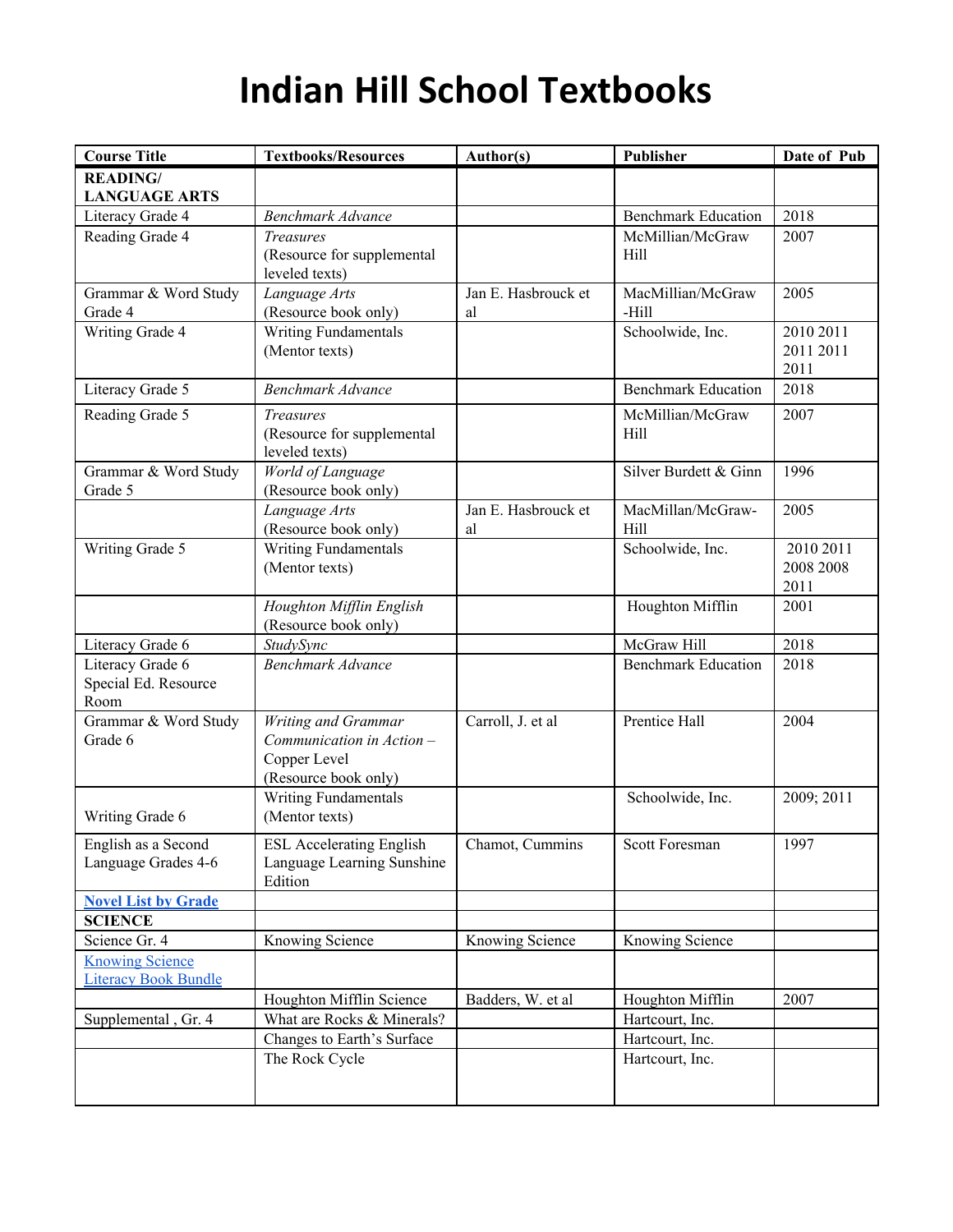| <b>Course Title</b>                      | <b>Textbooks/Resources</b>                   | Author(s)                 | Publisher                  | Date of Pub |
|------------------------------------------|----------------------------------------------|---------------------------|----------------------------|-------------|
| <b>READING/</b>                          |                                              |                           |                            |             |
| <b>LANGUAGE ARTS</b><br>Literacy Grade 4 | <b>Benchmark Advance</b>                     |                           | <b>Benchmark Education</b> | 2018        |
| Reading Grade 4                          | <b>Treasures</b>                             |                           | McMillian/McGraw           | 2007        |
|                                          | (Resource for supplemental                   |                           | Hill                       |             |
|                                          | leveled texts)                               |                           |                            |             |
| Grammar & Word Study                     | Language Arts                                | Jan E. Hasbrouck et       | MacMillian/McGraw          | 2005        |
| Grade 4                                  | (Resource book only)                         | al                        | -Hill                      |             |
| Writing Grade 4                          | Writing Fundamentals                         |                           | Schoolwide, Inc.           | 2010 2011   |
|                                          | (Mentor texts)                               |                           |                            | 2011 2011   |
|                                          |                                              |                           |                            | 2011        |
| Literacy Grade 5                         | <b>Benchmark Advance</b>                     |                           | <b>Benchmark Education</b> | 2018        |
| Reading Grade 5                          | <b>Treasures</b>                             |                           | McMillian/McGraw           | 2007        |
|                                          | (Resource for supplemental                   |                           | Hill                       |             |
|                                          | leveled texts)                               |                           |                            |             |
| Grammar & Word Study                     | World of Language                            |                           | Silver Burdett & Ginn      | 1996        |
| Grade 5                                  | (Resource book only)                         |                           |                            |             |
|                                          | Language Arts<br>(Resource book only)        | Jan E. Hasbrouck et<br>al | MacMillan/McGraw-<br>Hill  | 2005        |
| Writing Grade 5                          | Writing Fundamentals                         |                           | Schoolwide, Inc.           | 2010 2011   |
|                                          | (Mentor texts)                               |                           |                            | 2008 2008   |
|                                          |                                              |                           |                            | 2011        |
|                                          | Houghton Mifflin English                     |                           | Houghton Mifflin           | 2001        |
|                                          | (Resource book only)                         |                           |                            |             |
| Literacy Grade 6                         | StudySync                                    |                           | McGraw Hill                | 2018        |
| Literacy Grade 6                         | Benchmark Advance                            |                           | <b>Benchmark Education</b> | 2018        |
| Special Ed. Resource                     |                                              |                           |                            |             |
| Room                                     |                                              |                           |                            |             |
| Grammar & Word Study                     | Writing and Grammar                          | Carroll, J. et al         | Prentice Hall              | 2004        |
| Grade 6                                  | Communication in Action -                    |                           |                            |             |
|                                          | Copper Level                                 |                           |                            |             |
|                                          | (Resource book only)<br>Writing Fundamentals |                           | Schoolwide, Inc.           | 2009; 2011  |
| Writing Grade 6                          | (Mentor texts)                               |                           |                            |             |
|                                          |                                              |                           |                            |             |
| English as a Second                      | <b>ESL Accelerating English</b>              | Chamot, Cummins           | Scott Foresman             | 1997        |
| Language Grades 4-6                      | Language Learning Sunshine<br>Edition        |                           |                            |             |
| <b>Novel List by Grade</b>               |                                              |                           |                            |             |
| <b>SCIENCE</b>                           |                                              |                           |                            |             |
| Science Gr. 4                            | Knowing Science                              | Knowing Science           | <b>Knowing Science</b>     |             |
| <b>Knowing Science</b>                   |                                              |                           |                            |             |
| <b>Literacy Book Bundle</b>              |                                              |                           |                            |             |
|                                          | Houghton Mifflin Science                     | Badders, W. et al.        | Houghton Mifflin           | 2007        |
| Supplemental, Gr. 4                      | What are Rocks & Minerals?                   |                           | Hartcourt, Inc.            |             |
|                                          | Changes to Earth's Surface                   |                           | Hartcourt, Inc.            |             |
|                                          | The Rock Cycle                               |                           | Hartcourt, Inc.            |             |
|                                          |                                              |                           |                            |             |
|                                          |                                              |                           |                            |             |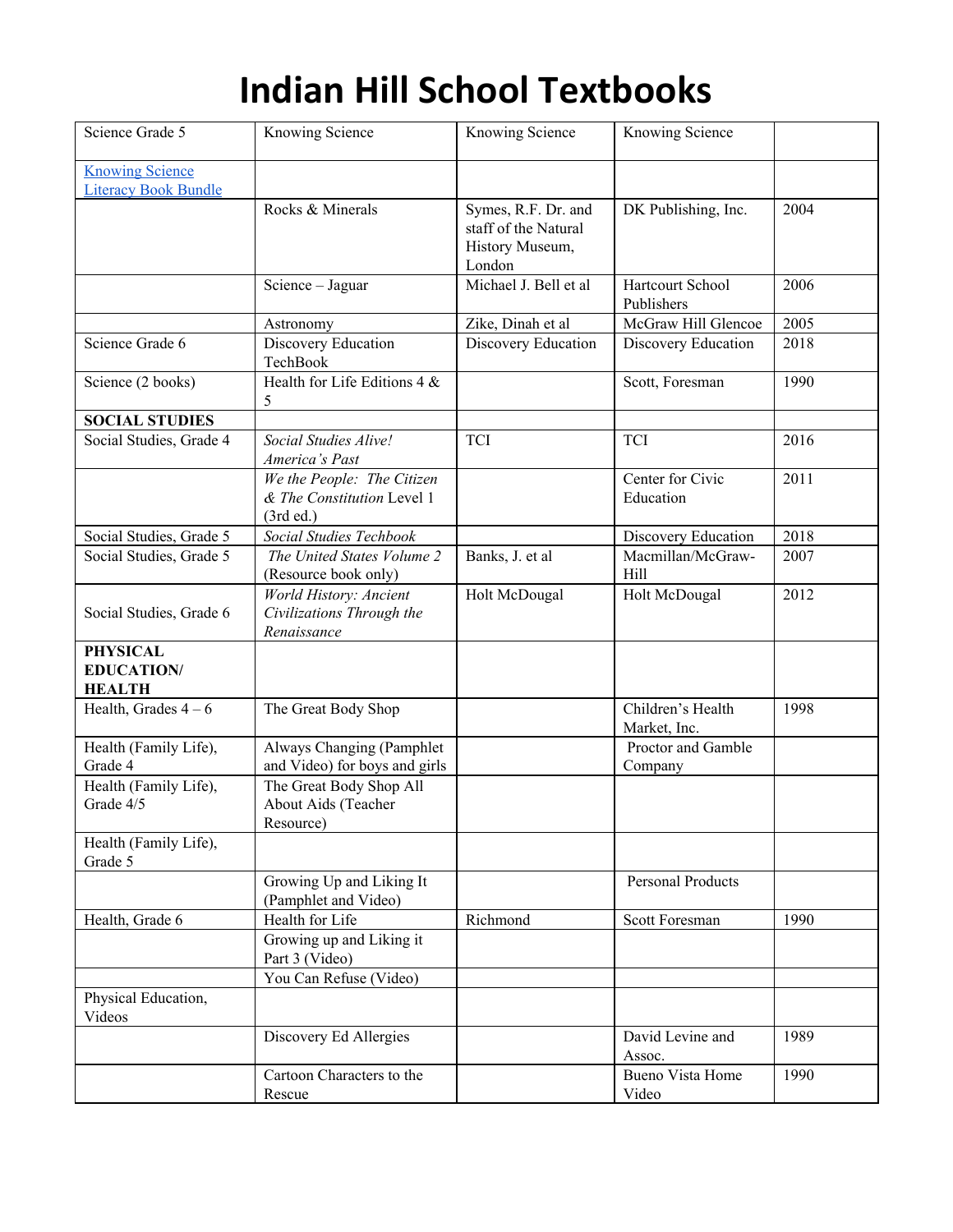| Science Grade 5                                       | Knowing Science                                                       | Knowing Science                                                          | Knowing Science                   |      |
|-------------------------------------------------------|-----------------------------------------------------------------------|--------------------------------------------------------------------------|-----------------------------------|------|
| <b>Knowing Science</b><br><b>Literacy Book Bundle</b> |                                                                       |                                                                          |                                   |      |
|                                                       | Rocks & Minerals                                                      | Symes, R.F. Dr. and<br>staff of the Natural<br>History Museum,<br>London | DK Publishing, Inc.               | 2004 |
|                                                       | Science - Jaguar                                                      | Michael J. Bell et al                                                    | Hartcourt School<br>Publishers    | 2006 |
|                                                       | Astronomy                                                             | Zike, Dinah et al                                                        | McGraw Hill Glencoe               | 2005 |
| Science Grade 6                                       | Discovery Education<br>TechBook                                       | Discovery Education                                                      | Discovery Education               | 2018 |
| Science (2 books)                                     | Health for Life Editions $4 &$<br>5                                   |                                                                          | Scott, Foresman                   | 1990 |
| <b>SOCIAL STUDIES</b>                                 |                                                                       |                                                                          |                                   |      |
| Social Studies, Grade 4                               | Social Studies Alive!<br>America's Past                               | <b>TCI</b>                                                               | <b>TCI</b>                        | 2016 |
|                                                       | We the People: The Citizen<br>& The Constitution Level 1<br>(3rd ed.) |                                                                          | Center for Civic<br>Education     | 2011 |
| Social Studies, Grade 5                               | Social Studies Techbook                                               |                                                                          | Discovery Education               | 2018 |
| Social Studies, Grade 5                               | The United States Volume 2<br>(Resource book only)                    | Banks, J. et al                                                          | Macmillan/McGraw-<br>Hill         | 2007 |
| Social Studies, Grade 6                               | World History: Ancient<br>Civilizations Through the<br>Renaissance    | Holt McDougal                                                            | Holt McDougal                     | 2012 |
| <b>PHYSICAL</b><br><b>EDUCATION/</b><br><b>HEALTH</b> |                                                                       |                                                                          |                                   |      |
| Health, Grades $4-6$                                  | The Great Body Shop                                                   |                                                                          | Children's Health<br>Market, Inc. | 1998 |
| Health (Family Life),<br>Grade 4                      | Always Changing (Pamphlet<br>and Video) for boys and girls            |                                                                          | Proctor and Gamble<br>Company     |      |
| Health (Family Life),<br>Grade 4/5                    | The Great Body Shop All<br>About Aids (Teacher<br>Resource)           |                                                                          |                                   |      |
| Health (Family Life),<br>Grade 5                      |                                                                       |                                                                          |                                   |      |
|                                                       | Growing Up and Liking It<br>(Pamphlet and Video)                      |                                                                          | <b>Personal Products</b>          |      |
| Health, Grade 6                                       | Health for Life                                                       | Richmond                                                                 | Scott Foresman                    | 1990 |
|                                                       | Growing up and Liking it<br>Part 3 (Video)                            |                                                                          |                                   |      |
|                                                       | You Can Refuse (Video)                                                |                                                                          |                                   |      |
| Physical Education,<br>Videos                         |                                                                       |                                                                          |                                   |      |
|                                                       | Discovery Ed Allergies                                                |                                                                          | David Levine and<br>Assoc.        | 1989 |
|                                                       | Cartoon Characters to the<br>Rescue                                   |                                                                          | <b>Bueno Vista Home</b><br>Video  | 1990 |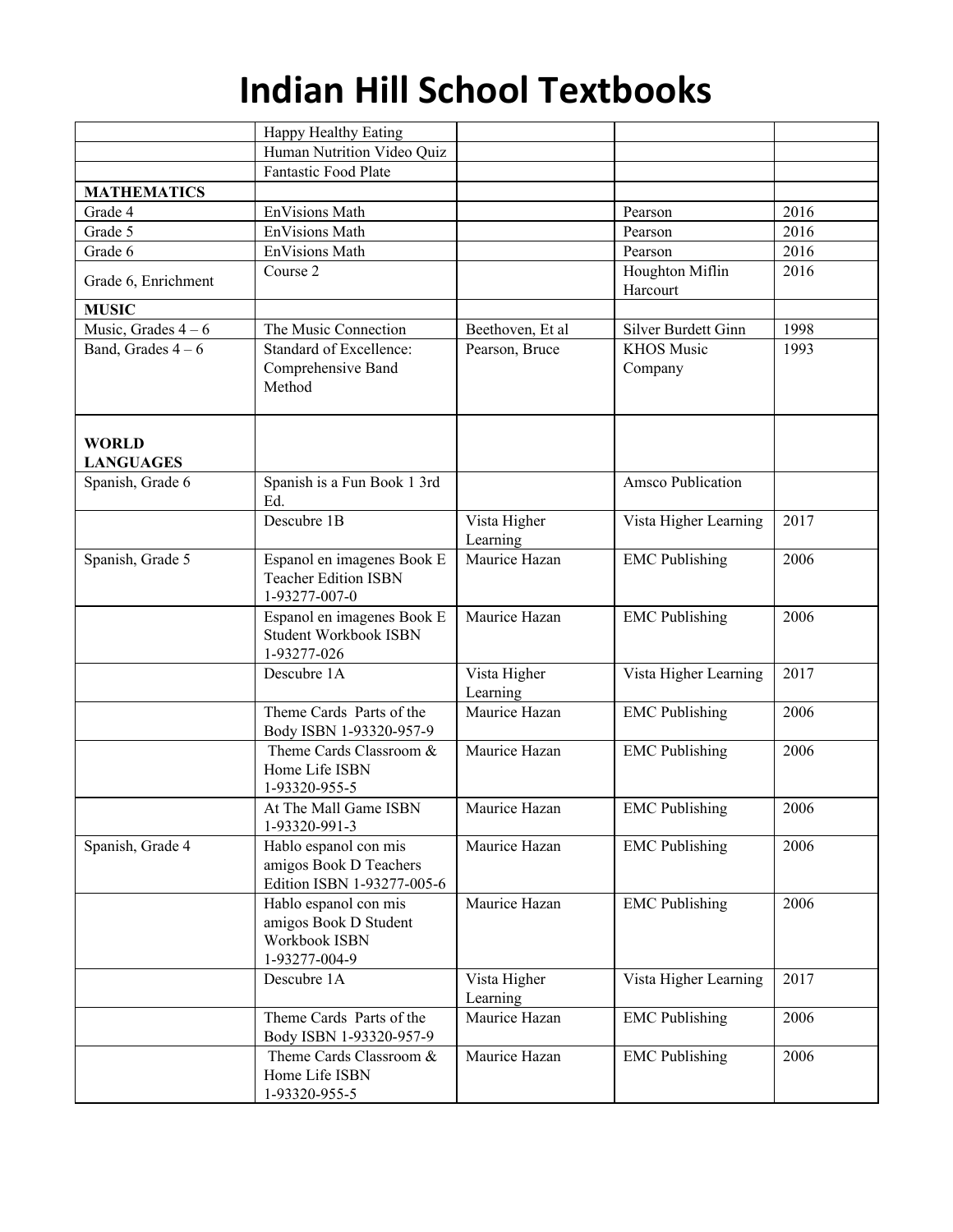|                                  | Happy Healthy Eating                                                             |                          |                             |      |
|----------------------------------|----------------------------------------------------------------------------------|--------------------------|-----------------------------|------|
|                                  | Human Nutrition Video Quiz                                                       |                          |                             |      |
|                                  | <b>Fantastic Food Plate</b>                                                      |                          |                             |      |
| <b>MATHEMATICS</b>               |                                                                                  |                          |                             |      |
| Grade 4                          | EnVisions Math                                                                   |                          | Pearson                     | 2016 |
| Grade 5                          | EnVisions Math                                                                   |                          | Pearson                     | 2016 |
| Grade 6                          | <b>EnVisions Math</b>                                                            |                          | Pearson                     | 2016 |
| Grade 6, Enrichment              | Course 2                                                                         |                          | Houghton Miflin<br>Harcourt | 2016 |
| <b>MUSIC</b>                     |                                                                                  |                          |                             |      |
| Music, Grades $4-6$              | The Music Connection                                                             | Beethoven, Et al         | Silver Burdett Ginn         | 1998 |
| Band, Grades $4-6$               | Standard of Excellence:                                                          | Pearson, Bruce           | <b>KHOS Music</b>           | 1993 |
|                                  | Comprehensive Band<br>Method                                                     |                          | Company                     |      |
| <b>WORLD</b><br><b>LANGUAGES</b> |                                                                                  |                          |                             |      |
| Spanish, Grade 6                 | Spanish is a Fun Book 1 3rd<br>Ed.                                               |                          | <b>Amsco Publication</b>    |      |
|                                  | Descubre $1\overline{B}$                                                         | Vista Higher<br>Learning | Vista Higher Learning       | 2017 |
| Spanish, Grade 5                 | Espanol en imagenes Book E<br><b>Teacher Edition ISBN</b><br>1-93277-007-0       | Maurice Hazan            | <b>EMC Publishing</b>       | 2006 |
|                                  | Espanol en imagenes Book E<br><b>Student Workbook ISBN</b><br>1-93277-026        | Maurice Hazan            | <b>EMC</b> Publishing       | 2006 |
|                                  | Descubre 1A                                                                      | Vista Higher<br>Learning | Vista Higher Learning       | 2017 |
|                                  | Theme Cards Parts of the<br>Body ISBN 1-93320-957-9                              | Maurice Hazan            | <b>EMC Publishing</b>       | 2006 |
|                                  | Theme Cards Classroom &<br>Home Life ISBN<br>1-93320-955-5                       | Maurice Hazan            | <b>EMC Publishing</b>       | 2006 |
|                                  | At The Mall Game ISBN<br>1-93320-991-3                                           | Maurice Hazan            | <b>EMC</b> Publishing       | 2006 |
| Spanish, Grade 4                 | Hablo espanol con mis<br>amigos Book D Teachers<br>Edition ISBN 1-93277-005-6    | Maurice Hazan            | <b>EMC</b> Publishing       | 2006 |
|                                  | Hablo espanol con mis<br>amigos Book D Student<br>Workbook ISBN<br>1-93277-004-9 | Maurice Hazan            | <b>EMC Publishing</b>       | 2006 |
|                                  | Descubre 1A                                                                      | Vista Higher<br>Learning | Vista Higher Learning       | 2017 |
|                                  | Theme Cards Parts of the<br>Body ISBN 1-93320-957-9                              | Maurice Hazan            | <b>EMC</b> Publishing       | 2006 |
|                                  | Theme Cards Classroom &<br>Home Life ISBN<br>1-93320-955-5                       | Maurice Hazan            | <b>EMC</b> Publishing       | 2006 |